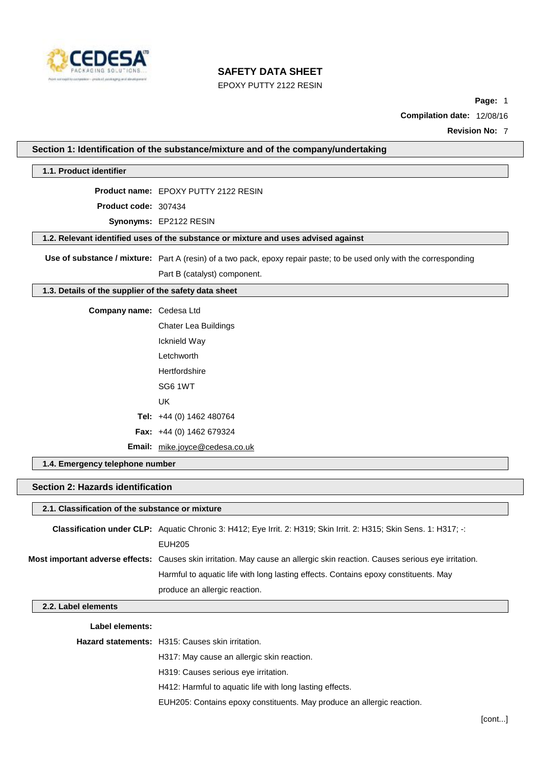

EPOXY PUTTY 2122 RESIN

**Page:** 1

**Compilation date:** 12/08/16

**Revision No:** 7

#### **1.1. Product identifier**

**Product name:** EPOXY PUTTY 2122 RESIN

**Product code:** 307434

**Synonyms:** EP2122 RESIN

**1.2. Relevant identified uses of the substance or mixture and uses advised against**

**Use of substance / mixture:** Part A (resin) of a two pack, epoxy repair paste; to be used only with the corresponding

Part B (catalyst) component.

### **1.3. Details of the supplier of the safety data sheet**

| Company name: Cedesa Ltd |                                   |
|--------------------------|-----------------------------------|
|                          | <b>Chater Lea Buildings</b>       |
|                          | Icknield Way                      |
|                          | Letchworth                        |
|                          | Hertfordshire                     |
|                          | SG6 1WT                           |
|                          | UK                                |
|                          | Tel: $+44$ (0) 1462 480764        |
|                          | <b>Fax:</b> $+44$ (0) 1462 679324 |
|                          | Email: mike.joyce@cedesa.co.uk    |

**1.4. Emergency telephone number**

**Section 2: Hazards identification**

| 2.1. Classification of the substance or mixture |
|-------------------------------------------------|
|-------------------------------------------------|

| Classification under CLP: Aquatic Chronic 3: H412; Eye Irrit. 2: H319; Skin Irrit. 2: H315; Skin Sens. 1: H317; -:          |
|-----------------------------------------------------------------------------------------------------------------------------|
| EUH205                                                                                                                      |
| Most important adverse effects: Causes skin irritation. May cause an allergic skin reaction. Causes serious eye irritation. |
| Harmful to aquatic life with long lasting effects. Contains epoxy constituents. May                                         |
| produce an allergic reaction.                                                                                               |

### **2.2. Label elements**

**Label elements:**

**Hazard statements:** H315: Causes skin irritation.

H317: May cause an allergic skin reaction.

H319: Causes serious eye irritation.

H412: Harmful to aquatic life with long lasting effects.

EUH205: Contains epoxy constituents. May produce an allergic reaction.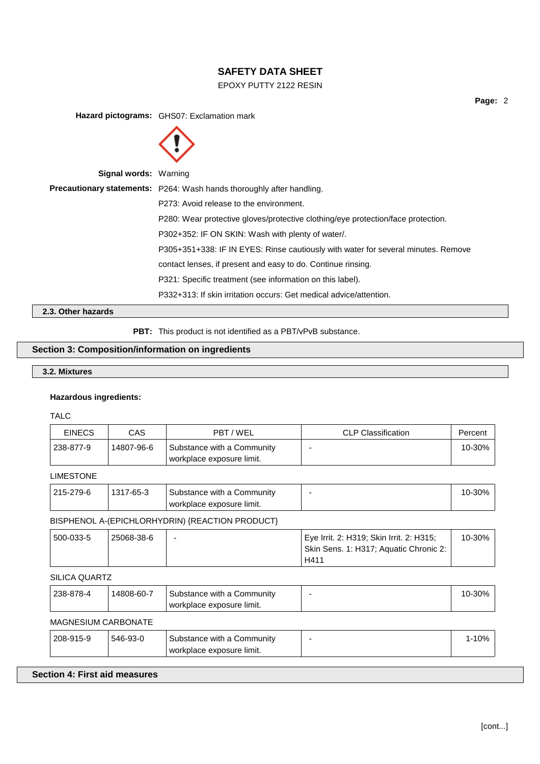# EPOXY PUTTY 2122 RESIN

**Page:** 2

**Hazard pictograms:** GHS07: Exclamation mark



**Signal words:** Warning

|                    | <b>Precautionary statements:</b> P264: Wash hands thoroughly after handling.      |
|--------------------|-----------------------------------------------------------------------------------|
|                    | P273: Avoid release to the environment.                                           |
|                    | P280: Wear protective gloves/protective clothing/eye protection/face protection.  |
|                    | P302+352: IF ON SKIN: Wash with plenty of water.                                  |
|                    | P305+351+338: IF IN EYES: Rinse cautiously with water for several minutes. Remove |
|                    | contact lenses, if present and easy to do. Continue rinsing.                      |
|                    | P321: Specific treatment (see information on this label).                         |
|                    | P332+313: If skin irritation occurs: Get medical advice/attention.                |
| 2.3. Other hazards |                                                                                   |

**PBT:** This product is not identified as a PBT/vPvB substance.

# **Section 3: Composition/information on ingredients**

# **3.2. Mixtures**

### **Hazardous ingredients:**

TALC

| CAS.                       | PBT / WEL                                               | <b>CLP Classification</b>                                                                  | Percent   |
|----------------------------|---------------------------------------------------------|--------------------------------------------------------------------------------------------|-----------|
| 14807-96-6                 | Substance with a Community<br>workplace exposure limit. |                                                                                            | 10-30%    |
|                            |                                                         |                                                                                            |           |
| 1317-65-3                  | Substance with a Community<br>workplace exposure limit. | ٠                                                                                          | 10-30%    |
|                            |                                                         |                                                                                            |           |
| 25068-38-6                 |                                                         | Eye Irrit. 2: H319; Skin Irrit. 2: H315;<br>Skin Sens. 1: H317; Aquatic Chronic 2:<br>H411 | 10-30%    |
| SILICA QUARTZ              |                                                         |                                                                                            |           |
| 14808-60-7                 | Substance with a Community<br>workplace exposure limit. | $\blacksquare$                                                                             | 10-30%    |
| <b>MAGNESIUM CARBONATE</b> |                                                         |                                                                                            |           |
| 546-93-0                   | Substance with a Community<br>workplace exposure limit. |                                                                                            | $1 - 10%$ |
|                            |                                                         | BISPHENOL A-(EPICHLORHYDRIN) {REACTION PRODUCT}                                            |           |

# **Section 4: First aid measures**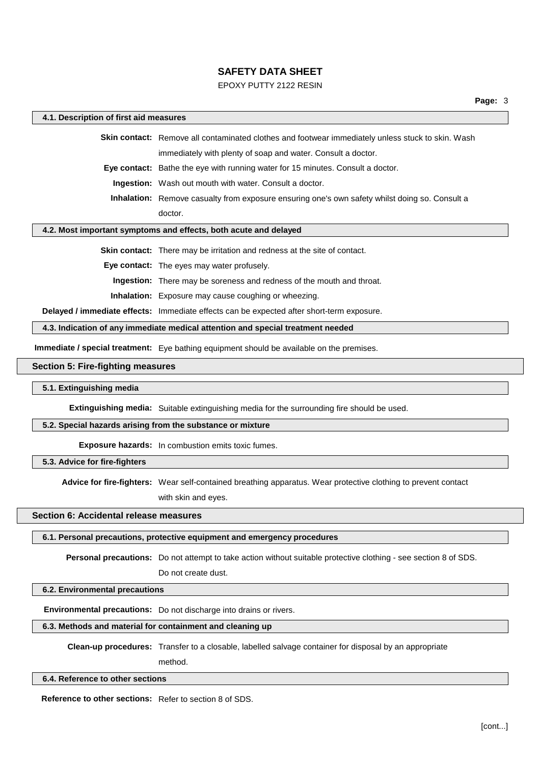## EPOXY PUTTY 2122 RESIN

#### **4.1. Description of first aid measures**

**Skin contact:** Remove all contaminated clothes and footwear immediately unless stuck to skin. Wash immediately with plenty of soap and water. Consult a doctor.

**Eye contact:** Bathe the eye with running water for 15 minutes. Consult a doctor.

**Ingestion:** Wash out mouth with water. Consult a doctor.

**Inhalation:** Remove casualty from exposure ensuring one's own safety whilst doing so. Consult a doctor.

#### **4.2. Most important symptoms and effects, both acute and delayed**

**Skin contact:** There may be irritation and redness at the site of contact.

**Eye contact:** The eyes may water profusely.

**Ingestion:** There may be soreness and redness of the mouth and throat.

**Inhalation:** Exposure may cause coughing or wheezing.

**Delayed / immediate effects:** Immediate effects can be expected after short-term exposure.

**4.3. Indication of any immediate medical attention and special treatment needed**

**Immediate / special treatment:** Eye bathing equipment should be available on the premises.

#### **Section 5: Fire-fighting measures**

#### **5.1. Extinguishing media**

**Extinguishing media:** Suitable extinguishing media for the surrounding fire should be used.

#### **5.2. Special hazards arising from the substance or mixture**

**Exposure hazards:** In combustion emits toxic fumes.

**5.3. Advice for fire-fighters**

**Advice for fire-fighters:** Wear self-contained breathing apparatus. Wear protective clothing to prevent contact

with skin and eyes.

# **Section 6: Accidental release measures**

#### **6.1. Personal precautions, protective equipment and emergency procedures**

**Personal precautions:** Do not attempt to take action without suitable protective clothing - see section 8 of SDS.

Do not create dust.

### **6.2. Environmental precautions**

**Environmental precautions:** Do not discharge into drains or rivers.

#### **6.3. Methods and material for containment and cleaning up**

**Clean-up procedures:** Transfer to a closable, labelled salvage container for disposal by an appropriate

method.

#### **6.4. Reference to other sections**

**Reference to other sections:** Refer to section 8 of SDS.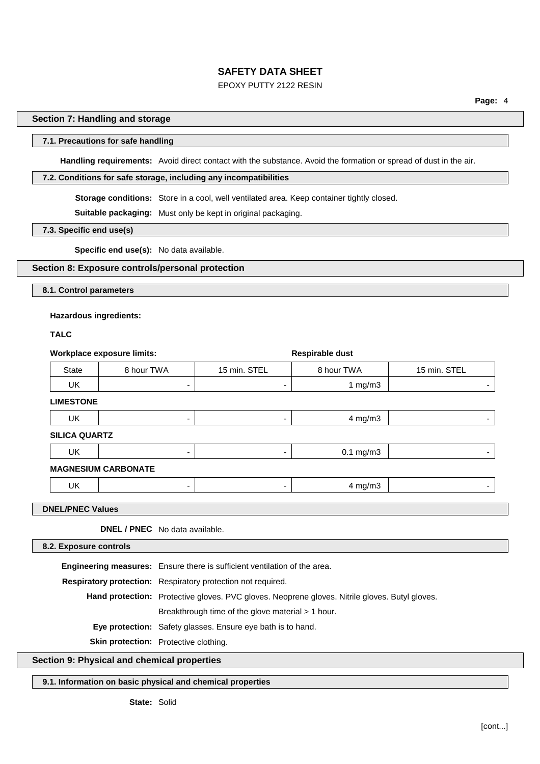## EPOXY PUTTY 2122 RESIN

## **Section 7: Handling and storage**

### **7.1. Precautions for safe handling**

**Handling requirements:** Avoid direct contact with the substance. Avoid the formation or spread of dust in the air.

### **7.2. Conditions for safe storage, including any incompatibilities**

**Storage conditions:** Store in a cool, well ventilated area. Keep container tightly closed.

**Suitable packaging:** Must only be kept in original packaging.

**7.3. Specific end use(s)**

**Specific end use(s):** No data available.

## **Section 8: Exposure controls/personal protection**

**8.1. Control parameters**

#### **Hazardous ingredients:**

**TALC**

| <b>Workplace exposure limits:</b> |                                |                                                                                                |                                                                                  | <b>Respirable dust</b> |              |
|-----------------------------------|--------------------------------|------------------------------------------------------------------------------------------------|----------------------------------------------------------------------------------|------------------------|--------------|
| <b>State</b>                      | 8 hour TWA                     |                                                                                                | 15 min. STEL                                                                     | 8 hour TWA             | 15 min. STEL |
| UK.                               |                                | ٠                                                                                              | ٠                                                                                | 1 $mg/m3$              |              |
| <b>LIMESTONE</b>                  |                                |                                                                                                |                                                                                  |                        |              |
| <b>UK</b>                         |                                |                                                                                                |                                                                                  | $4$ mg/m $3$           |              |
| <b>SILICA QUARTZ</b>              |                                |                                                                                                |                                                                                  |                        |              |
| UK.                               |                                | ٠                                                                                              | $\overline{\phantom{a}}$                                                         | $0.1$ mg/m $3$         |              |
| <b>MAGNESIUM CARBONATE</b>        |                                |                                                                                                |                                                                                  |                        |              |
| UK.                               |                                | ۰                                                                                              | ۰                                                                                | $4$ mg/m $3$           |              |
| <b>DNEL/PNEC Values</b>           |                                |                                                                                                |                                                                                  |                        |              |
|                                   | DNEL / PNEC No data available. |                                                                                                |                                                                                  |                        |              |
| 8.2. Exposure controls            |                                |                                                                                                |                                                                                  |                        |              |
|                                   |                                |                                                                                                | <b>Engineering measures:</b> Ensure there is sufficient ventilation of the area. |                        |              |
|                                   |                                | Respiratory protection: Respiratory protection not required.                                   |                                                                                  |                        |              |
|                                   |                                | Hand protection: Protective gloves. PVC gloves. Neoprene gloves. Nitrile gloves. Butyl gloves. |                                                                                  |                        |              |
|                                   |                                |                                                                                                | Breakthrough time of the glove material > 1 hour.                                |                        |              |
|                                   |                                |                                                                                                | Eye protection: Safety glasses. Ensure eye bath is to hand.                      |                        |              |
|                                   |                                |                                                                                                |                                                                                  |                        |              |

**Skin protection:** Protective clothing.

# **Section 9: Physical and chemical properties**

**9.1. Information on basic physical and chemical properties**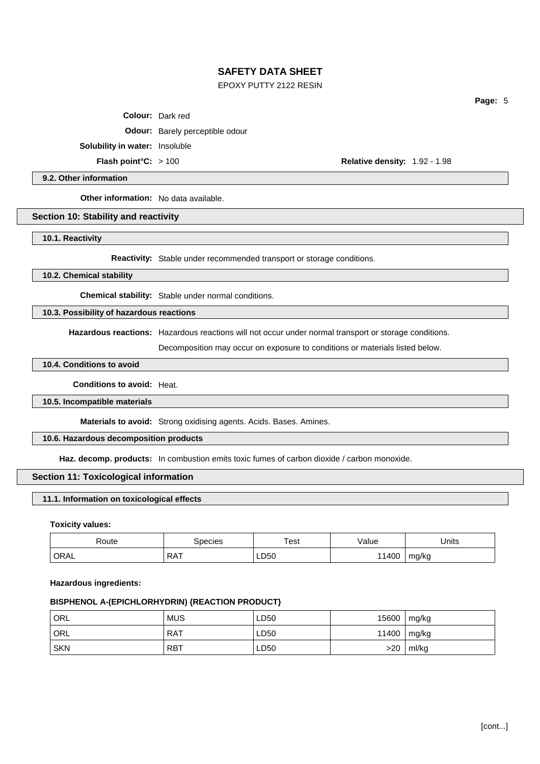## EPOXY PUTTY 2122 RESIN

**Colour:** Dark red

**Odour:** Barely perceptible odour

**Solubility in water:** Insoluble

**Flash point°C:** > 100 **Relative density:** 1.92 - 1.98

**Page:** 5

### **9.2. Other information**

**Other information:** No data available.

#### **Section 10: Stability and reactivity**

**10.1. Reactivity**

**Reactivity:** Stable under recommended transport or storage conditions.

**10.2. Chemical stability**

**Chemical stability:** Stable under normal conditions.

**10.3. Possibility of hazardous reactions**

**Hazardous reactions:** Hazardous reactions will not occur under normal transport or storage conditions.

Decomposition may occur on exposure to conditions or materials listed below.

## **10.4. Conditions to avoid**

**Conditions to avoid:** Heat.

#### **10.5. Incompatible materials**

**Materials to avoid:** Strong oxidising agents. Acids. Bases. Amines.

## **10.6. Hazardous decomposition products**

**Haz. decomp. products:** In combustion emits toxic fumes of carbon dioxide / carbon monoxide.

# **Section 11: Toxicological information**

#### **11.1. Information on toxicological effects**

**Toxicity values:**

| Route             | 3 pecies   | Test | `/alue | Jnits      |
|-------------------|------------|------|--------|------------|
| <sup>1</sup> ORAL | <b>RAT</b> | LD50 | 11400  | mg/kg<br>ັ |

#### **Hazardous ingredients:**

# **BISPHENOL A-(EPICHLORHYDRIN) {REACTION PRODUCT}**

| ' ORL      | <b>MUS</b> | LD50 | 15600         | mg/kg |
|------------|------------|------|---------------|-------|
| ' ORL      | <b>RAT</b> | LD50 | 11400 $mg/kg$ |       |
| <b>SKN</b> | <b>RBT</b> | LD50 | >20           | ml/kg |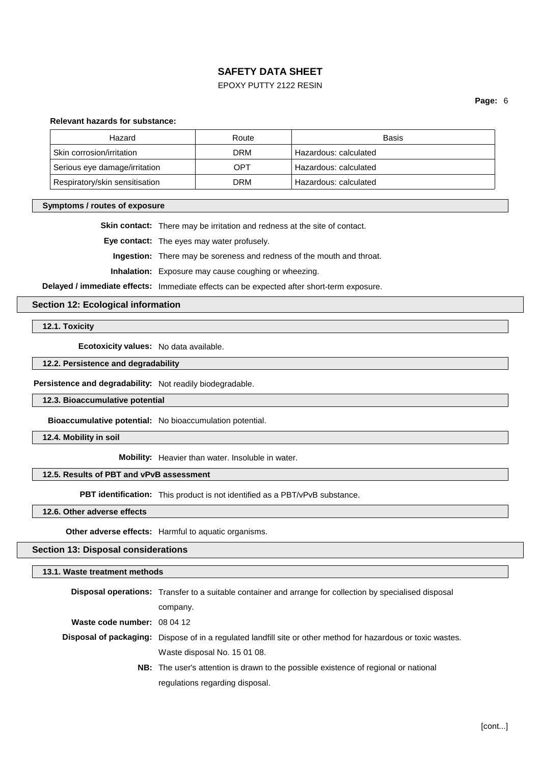## EPOXY PUTTY 2122 RESIN

**Page:** 6

#### **Relevant hazards for substance:**

| Hazard                         | Route | Basis                 |
|--------------------------------|-------|-----------------------|
| Skin corrosion/irritation      | DRM   | Hazardous: calculated |
| Serious eye damage/irritation  | OPT   | Hazardous: calculated |
| Respiratory/skin sensitisation | DRM   | Hazardous: calculated |

#### **Symptoms / routes of exposure**

**Skin contact:** There may be irritation and redness at the site of contact.

**Eye contact:** The eyes may water profusely.

**Ingestion:** There may be soreness and redness of the mouth and throat.

**Inhalation:** Exposure may cause coughing or wheezing.

**Delayed / immediate effects:** Immediate effects can be expected after short-term exposure.

## **Section 12: Ecological information**

**12.1. Toxicity**

**Ecotoxicity values:** No data available.

## **12.2. Persistence and degradability**

**Persistence and degradability:** Not readily biodegradable.

**12.3. Bioaccumulative potential**

**Bioaccumulative potential:** No bioaccumulation potential.

**12.4. Mobility in soil**

**Mobility:** Heavier than water. Insoluble in water.

# **12.5. Results of PBT and vPvB assessment**

**PBT identification:** This product is not identified as a PBT/vPvB substance.

**12.6. Other adverse effects**

**Other adverse effects:** Harmful to aquatic organisms.

### **Section 13: Disposal considerations**

| 13.1. Waste treatment methods |                                                                                                                      |  |
|-------------------------------|----------------------------------------------------------------------------------------------------------------------|--|
|                               | <b>Disposal operations:</b> Transfer to a suitable container and arrange for collection by specialised disposal      |  |
|                               | company.                                                                                                             |  |
| Waste code number: 08 04 12   |                                                                                                                      |  |
|                               | <b>Disposal of packaging:</b> Dispose of in a regulated landfill site or other method for hazardous or toxic wastes. |  |
|                               | Waste disposal No. 15 01 08.                                                                                         |  |
|                               | <b>NB:</b> The user's attention is drawn to the possible existence of regional or national                           |  |
|                               | regulations regarding disposal.                                                                                      |  |